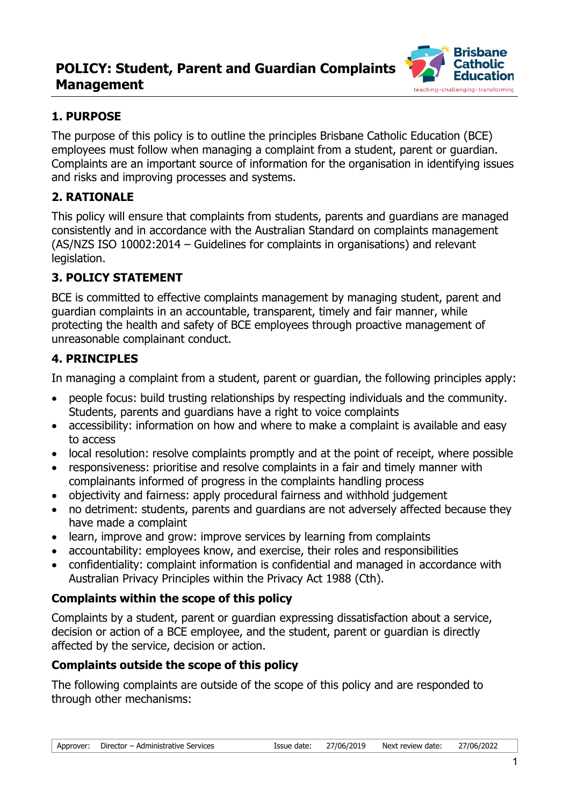# **POLICY: Student, Parent and Guardian Complaints Management**



## **1. PURPOSE**

The purpose of this policy is to outline the principles Brisbane Catholic Education (BCE) employees must follow when managing a complaint from a student, parent or guardian. Complaints are an important source of information for the organisation in identifying issues and risks and improving processes and systems.

## **2. RATIONALE**

This policy will ensure that complaints from students, parents and guardians are managed consistently and in accordance with the Australian Standard on complaints management (AS/NZS ISO 10002:2014 – Guidelines for complaints in organisations) and relevant legislation.

## **3. POLICY STATEMENT**

BCE is committed to effective complaints management by managing student, parent and guardian complaints in an accountable, transparent, timely and fair manner, while protecting the health and safety of BCE employees through proactive management of unreasonable complainant conduct.

#### **4. PRINCIPLES**

In managing a complaint from a student, parent or guardian, the following principles apply:

- people focus: build trusting relationships by respecting individuals and the community. Students, parents and guardians have a right to voice complaints
- accessibility: information on how and where to make a complaint is available and easy to access
- local resolution: resolve complaints promptly and at the point of receipt, where possible
- responsiveness: prioritise and resolve complaints in a fair and timely manner with complainants informed of progress in the complaints handling process
- objectivity and fairness: apply procedural fairness and withhold judgement
- no detriment: students, parents and quardians are not adversely affected because they have made a complaint
- learn, improve and grow: improve services by learning from complaints
- accountability: employees know, and exercise, their roles and responsibilities
- confidentiality: complaint information is confidential and managed in accordance with Australian Privacy Principles within the Privacy Act 1988 (Cth).

#### **Complaints within the scope of this policy**

Complaints by a student, parent or guardian expressing dissatisfaction about a service, decision or action of a BCE employee, and the student, parent or guardian is directly affected by the service, decision or action.

#### **Complaints outside the scope of this policy**

The following complaints are outside of the scope of this policy and are responded to through other mechanisms: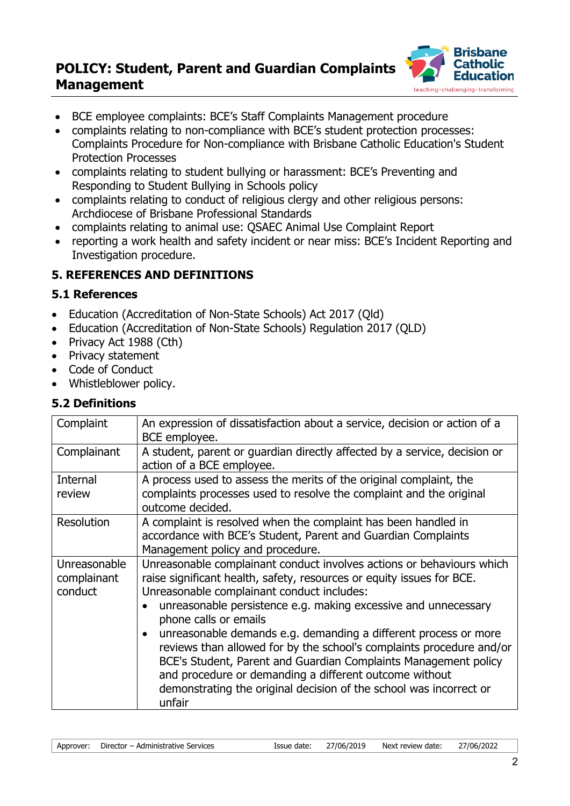# **POLICY: Student, Parent and Guardian Complaints Management**



- BCE employee complaints: BCE's Staff Complaints Management procedure
- complaints relating to non-compliance with BCE's student protection processes: Complaints Procedure for Non-compliance with Brisbane Catholic Education's Student Protection Processes
- complaints relating to student bullying or harassment: BCE's Preventing and Responding to Student Bullying in Schools policy
- complaints relating to conduct of religious clergy and other religious persons: Archdiocese of Brisbane Professional Standards
- complaints relating to animal use: QSAEC Animal Use Complaint Report
- reporting a work health and safety incident or near miss: BCE's Incident Reporting and Investigation procedure.

#### **5. REFERENCES AND DEFINITIONS**

#### **5.1 References**

- Education (Accreditation of Non-State Schools) Act 2017 (Qld)
- Education (Accreditation of Non-State Schools) Regulation 2017 (QLD)
- Privacy Act 1988 (Cth)
- Privacy statement
- Code of Conduct
- Whistleblower policy.

#### **5.2 Definitions**

| Complaint                              | An expression of dissatisfaction about a service, decision or action of a<br>BCE employee.                                                                                                                                                                                                                                                                                                                                                                                                                                                                                                                                                      |
|----------------------------------------|-------------------------------------------------------------------------------------------------------------------------------------------------------------------------------------------------------------------------------------------------------------------------------------------------------------------------------------------------------------------------------------------------------------------------------------------------------------------------------------------------------------------------------------------------------------------------------------------------------------------------------------------------|
| Complainant                            | A student, parent or guardian directly affected by a service, decision or<br>action of a BCE employee.                                                                                                                                                                                                                                                                                                                                                                                                                                                                                                                                          |
| Internal<br>review                     | A process used to assess the merits of the original complaint, the<br>complaints processes used to resolve the complaint and the original<br>outcome decided.                                                                                                                                                                                                                                                                                                                                                                                                                                                                                   |
| Resolution                             | A complaint is resolved when the complaint has been handled in<br>accordance with BCE's Student, Parent and Guardian Complaints<br>Management policy and procedure.                                                                                                                                                                                                                                                                                                                                                                                                                                                                             |
| Unreasonable<br>complainant<br>conduct | Unreasonable complainant conduct involves actions or behaviours which<br>raise significant health, safety, resources or equity issues for BCE.<br>Unreasonable complainant conduct includes:<br>unreasonable persistence e.g. making excessive and unnecessary<br>phone calls or emails<br>unreasonable demands e.g. demanding a different process or more<br>reviews than allowed for by the school's complaints procedure and/or<br>BCE's Student, Parent and Guardian Complaints Management policy<br>and procedure or demanding a different outcome without<br>demonstrating the original decision of the school was incorrect or<br>unfair |